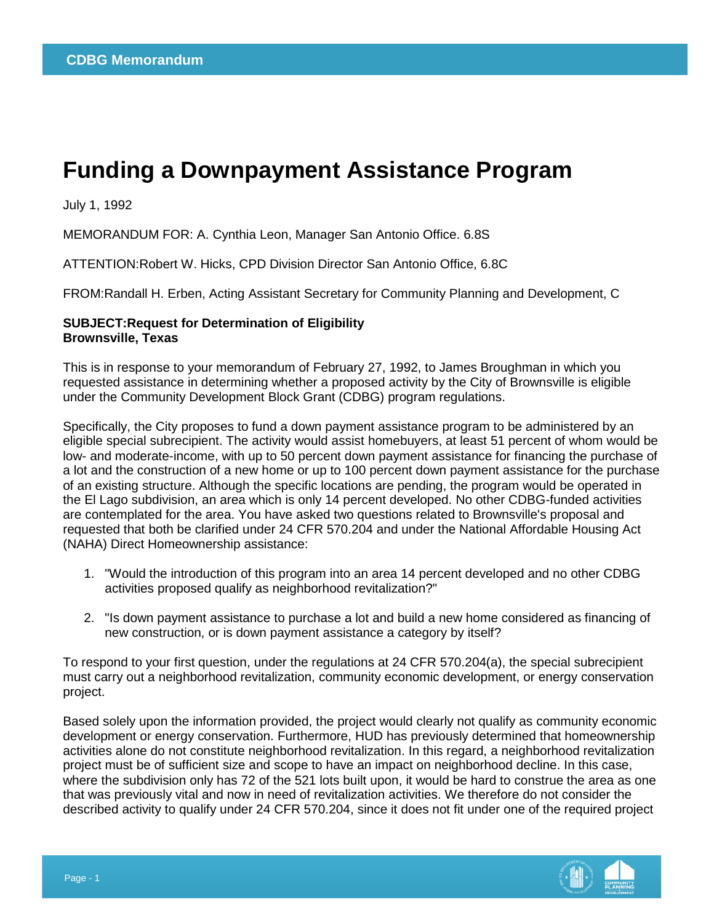## **Funding a Downpayment Assistance Program**

July 1, 1992

MEMORANDUM FOR: A. Cynthia Leon, Manager San Antonio Office. 6.8S

ATTENTION:Robert W. Hicks, CPD Division Director San Antonio Office, 6.8C

FROM:Randall H. Erben, Acting Assistant Secretary for Community Planning and Development, C

## **SUBJECT:Request for Determination of Eligibility Brownsville, Texas**

This is in response to your memorandum of February 27, 1992, to James Broughman in which you requested assistance in determining whether a proposed activity by the City of Brownsville is eligible under the Community Development Block Grant (CDBG) program regulations.

Specifically, the City proposes to fund a down payment assistance program to be administered by an eligible special subrecipient. The activity would assist homebuyers, at least 51 percent of whom would be low- and moderate-income, with up to 50 percent down payment assistance for financing the purchase of a lot and the construction of a new home or up to 100 percent down payment assistance for the purchase of an existing structure. Although the specific locations are pending, the program would be operated in the El Lago subdivision, an area which is only 14 percent developed. No other CDBG-funded activities are contemplated for the area. You have asked two questions related to Brownsville's proposal and requested that both be clarified under 24 CFR 570.204 and under the National Affordable Housing Act (NAHA) Direct Homeownership assistance:

- 1. "Would the introduction of this program into an area 14 percent developed and no other CDBG activities proposed qualify as neighborhood revitalization?"
- 2. "Is down payment assistance to purchase a lot and build a new home considered as financing of new construction, or is down payment assistance a category by itself?

To respond to your first question, under the regulations at 24 CFR 570.204(a), the special subrecipient must carry out a neighborhood revitalization, community economic development, or energy conservation project.

Based solely upon the information provided, the project would clearly not qualify as community economic development or energy conservation. Furthermore, HUD has previously determined that homeownership activities alone do not constitute neighborhood revitalization. In this regard, a neighborhood revitalization project must be of sufficient size and scope to have an impact on neighborhood decline. In this case, where the subdivision only has 72 of the 521 lots built upon, it would be hard to construe the area as one that was previously vital and now in need of revitalization activities. We therefore do not consider the described activity to qualify under 24 CFR 570.204, since it does not fit under one of the required project